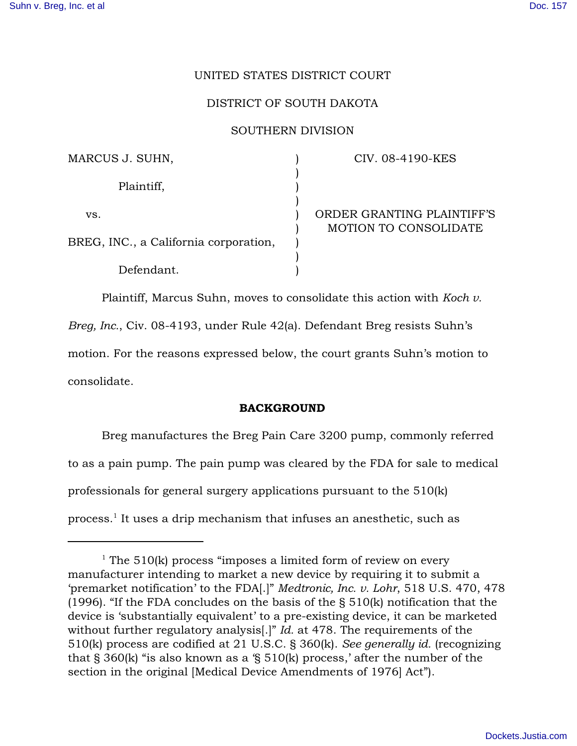# UNITED STATES DISTRICT COURT

# DISTRICT OF SOUTH DAKOTA

#### SOUTHERN DIVISION

| MARCUS J. SUHN,                       | CIV. 08-4190-KES             |
|---------------------------------------|------------------------------|
| Plaintiff,                            |                              |
| VS.                                   | ORDER GRANTING PLAINTIFF'S   |
| BREG, INC., a California corporation, | <b>MOTION TO CONSOLIDATE</b> |
| Defendant.                            |                              |

Plaintiff, Marcus Suhn, moves to consolidate this action with *Koch v. Breg, Inc.*, Civ. 08-4193, under Rule 42(a). Defendant Breg resists Suhn's motion. For the reasons expressed below, the court grants Suhn's motion to consolidate.

## BACKGROUND

Breg manufactures the Breg Pain Care 3200 pump, commonly referred to as a pain pump. The pain pump was cleared by the FDA for sale to medical professionals for general surgery applications pursuant to the 510(k) process.<sup>1</sup> It uses a drip mechanism that infuses an anesthetic, such as

<sup>&</sup>lt;sup>1</sup> The 510(k) process "imposes a limited form of review on every manufacturer intending to market a new device by requiring it to submit a 'premarket notification' to the FDA[.]" *Medtronic, Inc. v. Lohr*, 518 U.S. 470, 478 (1996). "If the FDA concludes on the basis of the § 510(k) notification that the device is 'substantially equivalent' to a pre-existing device, it can be marketed without further regulatory analysis[.]" *Id.* at 478. The requirements of the 510(k) process are codified at 21 U.S.C. § 360(k). *See generally id.* (recognizing that § 360(k) "is also known as a '§ 510(k) process,' after the number of the section in the original [Medical Device Amendments of 1976] Act").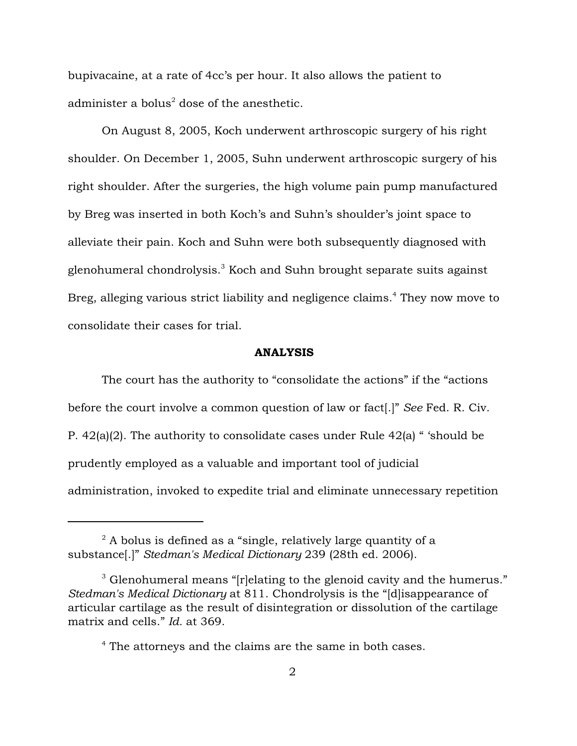bupivacaine, at a rate of 4cc's per hour. It also allows the patient to administer a bolus<sup>2</sup> dose of the anesthetic.

On August 8, 2005, Koch underwent arthroscopic surgery of his right shoulder. On December 1, 2005, Suhn underwent arthroscopic surgery of his right shoulder. After the surgeries, the high volume pain pump manufactured by Breg was inserted in both Koch's and Suhn's shoulder's joint space to alleviate their pain. Koch and Suhn were both subsequently diagnosed with glenohumeral chondrolysis.<sup>3</sup> Koch and Suhn brought separate suits against Breg, alleging various strict liability and negligence claims.<sup>4</sup> They now move to consolidate their cases for trial.

## ANALYSIS

The court has the authority to "consolidate the actions" if the "actions before the court involve a common question of law or fact[.]" *See* Fed. R. Civ. P. 42(a)(2). The authority to consolidate cases under Rule 42(a) " 'should be prudently employed as a valuable and important tool of judicial administration, invoked to expedite trial and eliminate unnecessary repetition

 $^2$  A bolus is defined as a "single, relatively large quantity of a substance[.]" *Stedman's Medical Dictionary* 239 (28th ed. 2006).

 $3$  Glenohumeral means "[r]elating to the glenoid cavity and the humerus." *Stedman's Medical Dictionary* at 811. Chondrolysis is the "[d]isappearance of articular cartilage as the result of disintegration or dissolution of the cartilage matrix and cells." *Id.* at 369.

<sup>&</sup>lt;sup>4</sup> The attorneys and the claims are the same in both cases.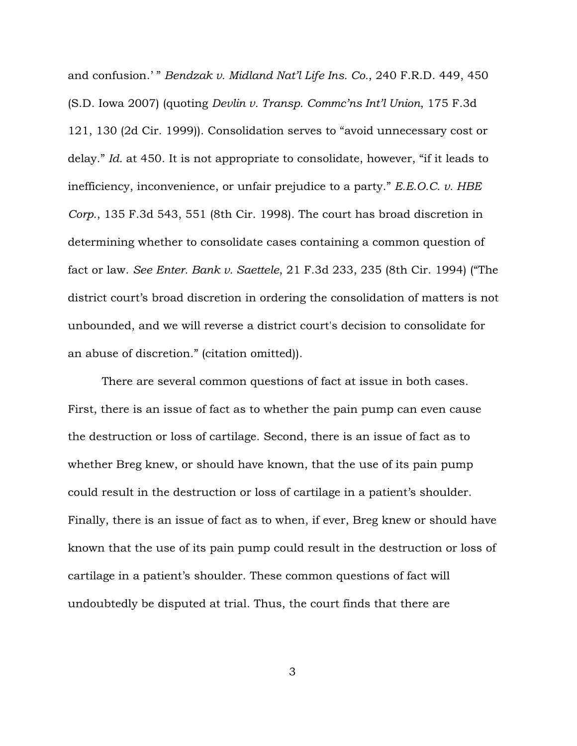and confusion.' " *Bendzak v. Midland Nat'l Life Ins. Co.*, 240 F.R.D. 449, 450 (S.D. Iowa 2007) (quoting *Devlin v. Transp. Commc'ns Int'l Union*, 175 F.3d 121, 130 (2d Cir. 1999)). Consolidation serves to "avoid unnecessary cost or delay." *Id.* at 450. It is not appropriate to consolidate, however, "if it leads to inefficiency, inconvenience, or unfair prejudice to a party." *E.E.O.C. v. HBE Corp.*, 135 F.3d 543, 551 (8th Cir. 1998). The court has broad discretion in determining whether to consolidate cases containing a common question of fact or law. *See Enter. Bank v. Saettele*, 21 F.3d 233, 235 (8th Cir. 1994) ("The district court's broad discretion in ordering the consolidation of matters is not unbounded, and we will reverse a district court's decision to consolidate for an abuse of discretion." (citation omitted)).

There are several common questions of fact at issue in both cases. First, there is an issue of fact as to whether the pain pump can even cause the destruction or loss of cartilage. Second, there is an issue of fact as to whether Breg knew, or should have known, that the use of its pain pump could result in the destruction or loss of cartilage in a patient's shoulder. Finally, there is an issue of fact as to when, if ever, Breg knew or should have known that the use of its pain pump could result in the destruction or loss of cartilage in a patient's shoulder. These common questions of fact will undoubtedly be disputed at trial. Thus, the court finds that there are

3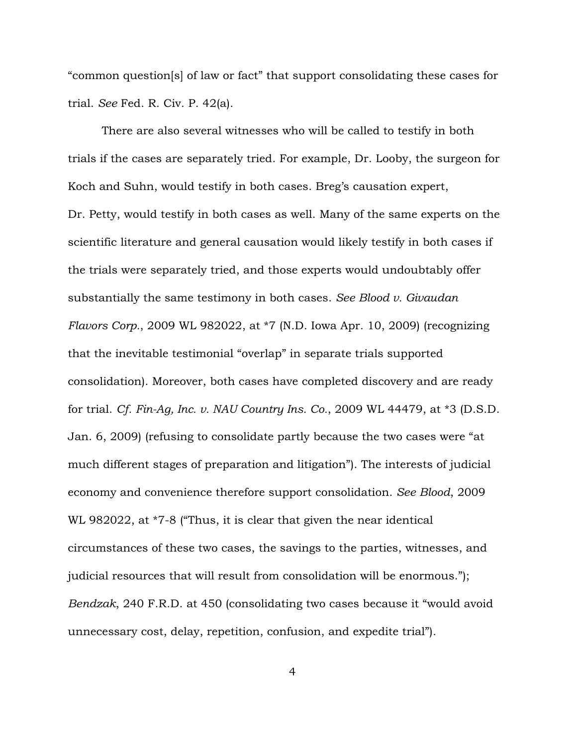"common question[s] of law or fact" that support consolidating these cases for trial. *See* Fed. R. Civ. P. 42(a).

There are also several witnesses who will be called to testify in both trials if the cases are separately tried. For example, Dr. Looby, the surgeon for Koch and Suhn, would testify in both cases. Breg's causation expert, Dr. Petty, would testify in both cases as well. Many of the same experts on the scientific literature and general causation would likely testify in both cases if the trials were separately tried, and those experts would undoubtably offer substantially the same testimony in both cases. *See Blood v. Givaudan Flavors Corp.*, 2009 WL 982022, at \*7 (N.D. Iowa Apr. 10, 2009) (recognizing that the inevitable testimonial "overlap" in separate trials supported consolidation). Moreover, both cases have completed discovery and are ready for trial. *Cf. Fin-Ag, Inc. v. NAU Country Ins. Co.*, 2009 WL 44479, at \*3 (D.S.D. Jan. 6, 2009) (refusing to consolidate partly because the two cases were "at much different stages of preparation and litigation"). The interests of judicial economy and convenience therefore support consolidation. *See Blood*, 2009 WL 982022, at \*7-8 ("Thus, it is clear that given the near identical circumstances of these two cases, the savings to the parties, witnesses, and judicial resources that will result from consolidation will be enormous."); *Bendzak*, 240 F.R.D. at 450 (consolidating two cases because it "would avoid unnecessary cost, delay, repetition, confusion, and expedite trial").

4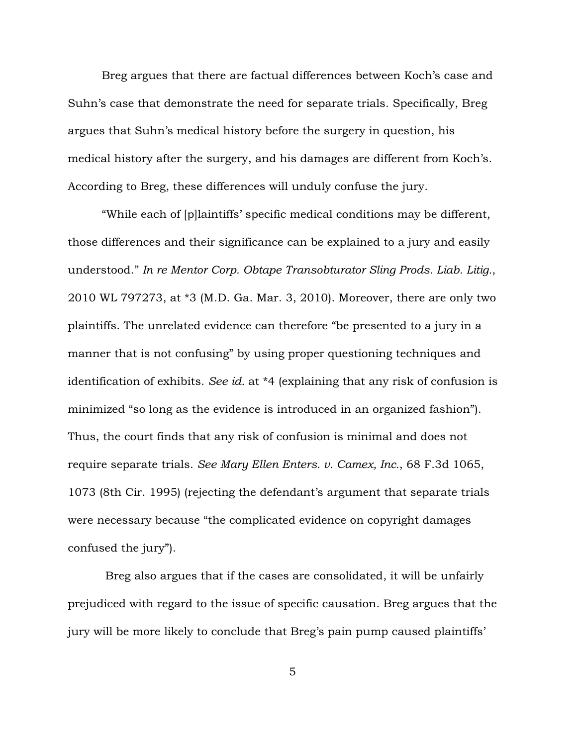Breg argues that there are factual differences between Koch's case and Suhn's case that demonstrate the need for separate trials. Specifically, Breg argues that Suhn's medical history before the surgery in question, his medical history after the surgery, and his damages are different from Koch's. According to Breg, these differences will unduly confuse the jury.

"While each of [p]laintiffs' specific medical conditions may be different, those differences and their significance can be explained to a jury and easily understood." *In re Mentor Corp. Obtape Transobturator Sling Prods. Liab. Litig.*, 2010 WL 797273, at \*3 (M.D. Ga. Mar. 3, 2010). Moreover, there are only two plaintiffs. The unrelated evidence can therefore "be presented to a jury in a manner that is not confusing" by using proper questioning techniques and identification of exhibits. *See id.* at \*4 (explaining that any risk of confusion is minimized "so long as the evidence is introduced in an organized fashion"). Thus, the court finds that any risk of confusion is minimal and does not require separate trials. *See Mary Ellen Enters. v. Camex, Inc.*, 68 F.3d 1065, 1073 (8th Cir. 1995) (rejecting the defendant's argument that separate trials were necessary because "the complicated evidence on copyright damages confused the jury").

 Breg also argues that if the cases are consolidated, it will be unfairly prejudiced with regard to the issue of specific causation. Breg argues that the jury will be more likely to conclude that Breg's pain pump caused plaintiffs'

5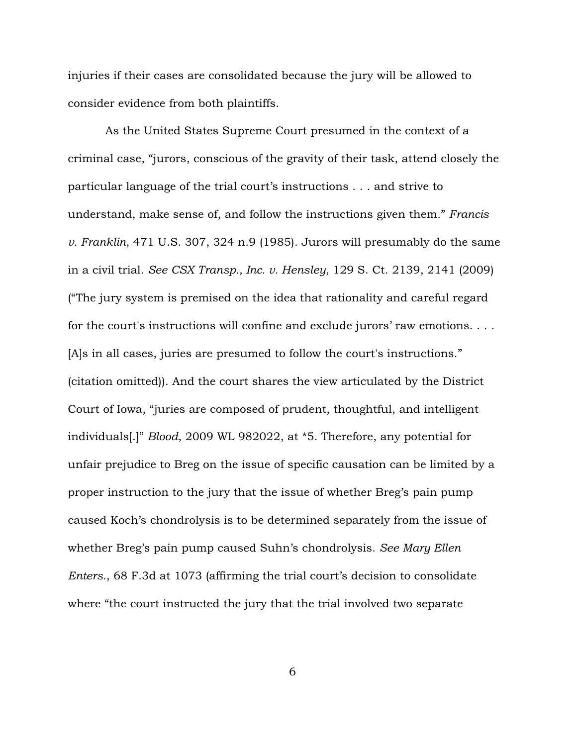injuries if their cases are consolidated because the jury will be allowed to consider evidence from both plaintiffs.

 As the United States Supreme Court presumed in the context of a criminal case, "jurors, conscious of the gravity of their task, attend closely the particular language of the trial court's instructions . . . and strive to understand, make sense of, and follow the instructions given them." *Francis v. Franklin*, 471 U.S. 307, 324 n.9 (1985). Jurors will presumably do the same in a civil trial. *See CSX Transp., Inc. v. Hensley*, 129 S. Ct. 2139, 2141 (2009) ("The jury system is premised on the idea that rationality and careful regard for the court's instructions will confine and exclude jurors' raw emotions. . . . [A]s in all cases, juries are presumed to follow the court's instructions." (citation omitted)). And the court shares the view articulated by the District Court of Iowa, "juries are composed of prudent, thoughtful, and intelligent individuals[.]" *Blood*, 2009 WL 982022, at \*5. Therefore, any potential for unfair prejudice to Breg on the issue of specific causation can be limited by a proper instruction to the jury that the issue of whether Breg's pain pump caused Koch's chondrolysis is to be determined separately from the issue of whether Breg's pain pump caused Suhn's chondrolysis. *See Mary Ellen Enters.*, 68 F.3d at 1073 (affirming the trial court's decision to consolidate where "the court instructed the jury that the trial involved two separate